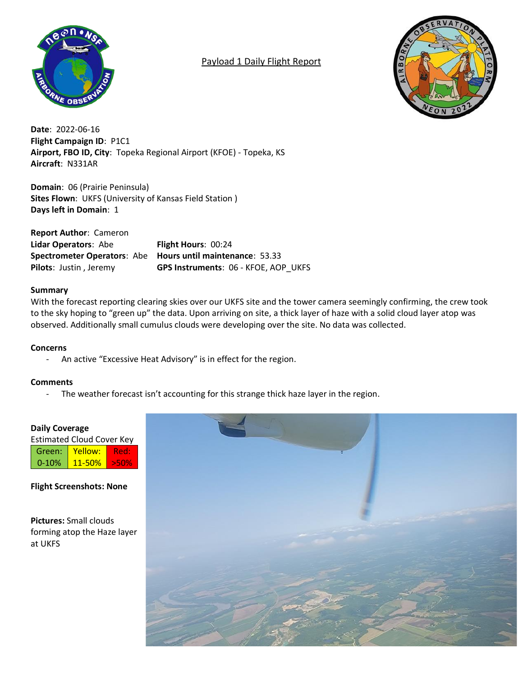

# Payload 1 Daily Flight Report



**Date**: 2022-06-16 **Flight Campaign ID**: P1C1 **Airport, FBO ID, City**: Topeka Regional Airport (KFOE) - Topeka, KS **Aircraft**: N331AR

**Domain**: 06 (Prairie Peninsula) **Sites Flown**: UKFS (University of Kansas Field Station ) **Days left in Domain**: 1

**Report Author**: Cameron **Lidar Operators**: Abe **Flight Hours**: 00:24 **Spectrometer Operators**: Abe **Hours until maintenance**: 53.33 **Pilots**: Justin , Jeremy **GPS Instruments**: 06 - KFOE, AOP\_UKFS

# **Summary**

With the forecast reporting clearing skies over our UKFS site and the tower camera seemingly confirming, the crew took to the sky hoping to "green up" the data. Upon arriving on site, a thick layer of haze with a solid cloud layer atop was observed. Additionally small cumulus clouds were developing over the site. No data was collected.

# **Concerns**

- An active "Excessive Heat Advisory" is in effect for the region.

# **Comments**

- The weather forecast isn't accounting for this strange thick haze layer in the region.

# **Daily Coverage**

| <b>Estimated Cloud Cover Key</b> |            |      |  |  |  |  |  |  |  |  |
|----------------------------------|------------|------|--|--|--|--|--|--|--|--|
| Green:                           | Yellow:    | Redy |  |  |  |  |  |  |  |  |
| $0 - 10%$                        | $11 - 50%$ | >50% |  |  |  |  |  |  |  |  |

**Flight Screenshots: None**

**Pictures:** Small clouds forming atop the Haze layer at UKFS

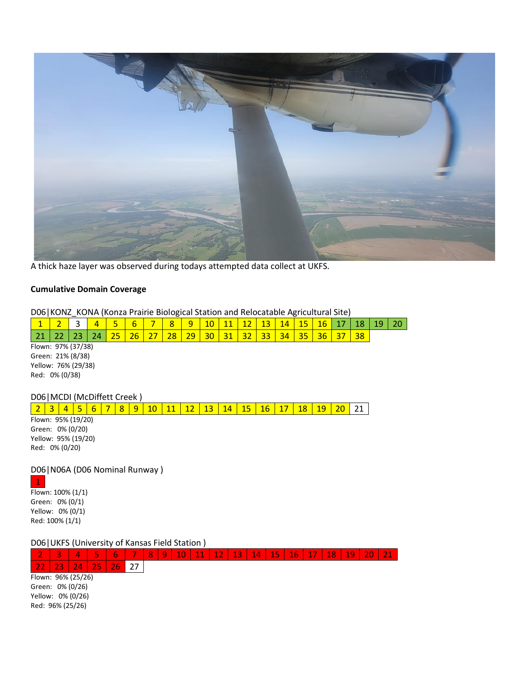

A thick haze layer was observed during todays attempted data collect at UKFS.

#### **Cumulative Domain Coverage**

D06|KONZ\_KONA (Konza Prairie Biological Station and Relocatable Agricultural Site)

|                    |  | - - - - - |                 |  |  |    |  |    |    |    |  |  |  |  |  |  |    |  |  |
|--------------------|--|-----------|-----------------|--|--|----|--|----|----|----|--|--|--|--|--|--|----|--|--|
|                    |  |           |                 |  |  | h  |  |    | a  |    |  |  |  |  |  |  |    |  |  |
|                    |  |           |                 |  |  | 26 |  | 28 | 29 | 30 |  |  |  |  |  |  | 38 |  |  |
| Flown: 97% (37/38) |  |           |                 |  |  |    |  |    |    |    |  |  |  |  |  |  |    |  |  |
| Green: 21% (8/38)  |  |           |                 |  |  |    |  |    |    |    |  |  |  |  |  |  |    |  |  |
|                    |  |           | Valsum TCD/1201 |  |  |    |  |    |    |    |  |  |  |  |  |  |    |  |  |

Yellow: 76% (29/38) Red: 0% (0/38)

## D06|MCDI (McDiffett Creek )

2 3 4 5 6 7 8 9 10 11 12 13 14 15 16 17 18 19 20 21 Flown: 95% (19/20) Green: 0% (0/20) Yellow: 95% (19/20) Red: 0% (0/20)

D06|N06A (D06 Nominal Runway ) 1

Flown: 100% (1/1) Green: 0% (0/1) Yellow: 0% (0/1) Red: 100% (1/1)

D06|UKFS (University of Kansas Field Station )

|                   |                    |   | <b>Property</b> | 6    |  | $\overline{\mathsf{R}}$ | $\alpha$ | 10 | 11 | 12 | 13 | 14 | 15 | 16 | 17 | 18 | 19 |  |  |
|-------------------|--------------------|---|-----------------|------|--|-------------------------|----------|----|----|----|----|----|----|----|----|----|----|--|--|
|                   | วว                 | Д | oг              | 7 F. |  |                         |          |    |    |    |    |    |    |    |    |    |    |  |  |
|                   | Flown: 96% (25/26) |   |                 |      |  |                         |          |    |    |    |    |    |    |    |    |    |    |  |  |
| Green: 0% (0/26)  |                    |   |                 |      |  |                         |          |    |    |    |    |    |    |    |    |    |    |  |  |
| Yellow: 0% (0/26) |                    |   |                 |      |  |                         |          |    |    |    |    |    |    |    |    |    |    |  |  |
| Red: 96% (25/26)  |                    |   |                 |      |  |                         |          |    |    |    |    |    |    |    |    |    |    |  |  |